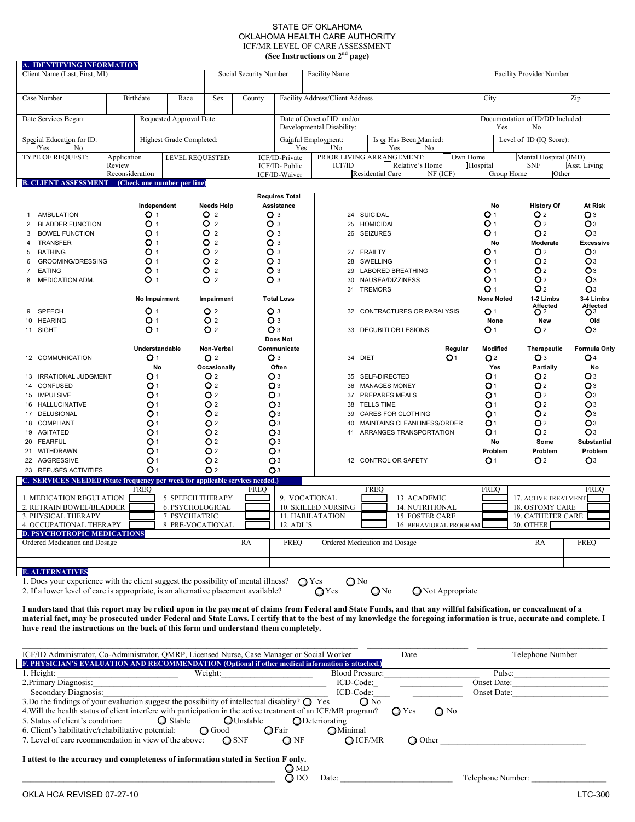#### STATE OF OKLAHOMA OKLAHOMA HEALTH CARE AUTHORITY ICF/MR LEVEL OF CARE ASSESSMENT **(See Instructions on 2nd page)**

|                                                                                                                                                                 |                                                |                          |                              |                                                |                        | (See Instructions on 2 <sup>nd</sup> page) |                          |                             |                                 |                   |                                  |                     |
|-----------------------------------------------------------------------------------------------------------------------------------------------------------------|------------------------------------------------|--------------------------|------------------------------|------------------------------------------------|------------------------|--------------------------------------------|--------------------------|-----------------------------|---------------------------------|-------------------|----------------------------------|---------------------|
| A. IDENTIFYING INFORMATION<br>Client Name (Last, First, MI)                                                                                                     |                                                |                          |                              | Social Security Number<br><b>Facility Name</b> |                        |                                            |                          |                             | <b>Facility Provider Number</b> |                   |                                  |                     |
|                                                                                                                                                                 |                                                |                          |                              |                                                |                        |                                            |                          |                             |                                 |                   |                                  |                     |
| Case Number                                                                                                                                                     | Birthdate                                      | Race                     | Sex                          | County                                         |                        | Facility Address/Client Address            |                          |                             |                                 | City              |                                  | Zip                 |
| Date Services Began:                                                                                                                                            |                                                | Requested Approval Date: |                              |                                                |                        | Date of Onset of ID and/or                 |                          |                             |                                 |                   | Documentation of ID/DD Included: |                     |
|                                                                                                                                                                 |                                                |                          | Developmental Disability:    |                                                |                        |                                            |                          | Yes<br>No                   |                                 |                   |                                  |                     |
| Highest Grade Completed:<br>Special Education for ID:                                                                                                           |                                                |                          |                              | Gainful Employment:                            |                        |                                            |                          | Is or Has Been Married:     |                                 |                   | Level of ID (IQ Score):          |                     |
| Yes<br>No                                                                                                                                                       |                                                |                          |                              |                                                | Yes<br><sup>1</sup> No |                                            | Yes<br>No                |                             |                                 |                   |                                  |                     |
| TYPE OF REQUEST:                                                                                                                                                | Application                                    | LEVEL REQUESTED:         |                              |                                                | ICF/ID-Private         | PRIOR LIVING ARRANGEMENT:                  |                          |                             | Own Home                        |                   | Mental Hospital (IMD)            |                     |
|                                                                                                                                                                 | Review                                         |                          |                              |                                                | ICF/ID-Public          | <b>ICF/ID</b>                              |                          | Relative's Home             |                                 | Hospital          | $\sqrt{\text{SNF}}$              | Asst. Living        |
| <b>B. CLIENT ASSESSMENT</b>                                                                                                                                     | Reconsideration<br>(Check one number per line) |                          |                              |                                                | ICF/ID-Waiver          |                                            | Residential Care         |                             | NF (ICF)                        | Group Home        | Other                            |                     |
|                                                                                                                                                                 |                                                |                          |                              |                                                |                        |                                            |                          |                             |                                 |                   |                                  |                     |
|                                                                                                                                                                 |                                                |                          |                              |                                                | <b>Requires Total</b>  |                                            |                          |                             |                                 |                   |                                  |                     |
|                                                                                                                                                                 | Independent                                    |                          | <b>Needs Help</b>            |                                                | Assistance             |                                            |                          |                             |                                 | No                | <b>History Of</b>                | At Risk             |
| <b>AMBULATION</b>                                                                                                                                               | O <sub>1</sub>                                 |                          | O 2<br>O <sub>3</sub><br>O 2 |                                                |                        |                                            | 24 SUICIDAL              |                             |                                 | O 1               | O <sub>2</sub>                   | Oз                  |
| <b>BLADDER FUNCTION</b><br>2                                                                                                                                    | O<br>$\overline{1}$                            |                          |                              | O <sub>3</sub>                                 |                        |                                            | <b>HOMICIDAL</b><br>25   |                             |                                 | O 1               | O2                               | O <sub>3</sub>      |
| <b>BOWEL FUNCTION</b><br>3                                                                                                                                      | O 1                                            |                          | O 2                          | Oз                                             |                        | 26                                         | <b>SEIZURES</b>          |                             |                                 | O 1               | O <sub>2</sub>                   | O <sub>3</sub>      |
| <b>TRANSFER</b><br>4                                                                                                                                            | O 1                                            |                          | O 2                          | Oз                                             |                        |                                            |                          |                             |                                 | No                | Moderate                         | <b>Excessive</b>    |
| <b>BATHING</b><br>5                                                                                                                                             | O 1                                            |                          | O 2<br>Oз                    |                                                |                        | 27                                         | <b>FRAILTY</b>           |                             |                                 | O 1               | O2                               | O <sub>3</sub>      |
| <b>GROOMING/DRESSING</b><br>6                                                                                                                                   | O 1                                            |                          | O 2                          | Oз                                             |                        | 28                                         | <b>SWELLING</b>          |                             |                                 | O 1               | O2                               | O <sub>3</sub>      |
| <b>EATING</b><br>$\overline{7}$                                                                                                                                 | O 1                                            | O 2                      |                              | O <sub>3</sub>                                 |                        | 29                                         | <b>LABORED BREATHING</b> |                             |                                 | O 1               | O <sub>2</sub>                   | O <sub>3</sub>      |
| <b>MEDICATION ADM.</b><br>8                                                                                                                                     | O 1                                            |                          | O 2                          | Oз                                             |                        | 30                                         |                          | <b>NAUSEA/DIZZINESS</b>     |                                 | O 1               | O2                               | O <sub>3</sub>      |
|                                                                                                                                                                 |                                                |                          |                              |                                                |                        | 31                                         | <b>TREMORS</b>           |                             |                                 | O 1               | O <sub>2</sub>                   | O <sub>3</sub>      |
|                                                                                                                                                                 | No Impairment                                  |                          | Impairment                   |                                                | <b>Total Loss</b>      |                                            |                          |                             |                                 | <b>None Noted</b> | 1-2 Limbs                        | 3-4 Limbs           |
| SPEECH                                                                                                                                                          | O <sub>1</sub>                                 |                          | O 2                          | Oз                                             |                        | 32                                         |                          | CONTRACTURES OR PARALYSIS   |                                 | O <sub>1</sub>    | Affected<br>O <sub>2</sub>       | Affected<br>$O3$    |
| <b>HEARING</b><br>10                                                                                                                                            | O <sub>1</sub>                                 |                          | O 2                          | Oз                                             |                        |                                            |                          |                             |                                 | None              | <b>New</b>                       | Old                 |
| 11 SIGHT                                                                                                                                                        | O <sub>1</sub>                                 |                          | O 2                          | Oз                                             |                        | 33                                         |                          | DECUBITI OR LESIONS         |                                 | O 1               | O2                               | O <sub>3</sub>      |
|                                                                                                                                                                 |                                                |                          |                              |                                                | Does Not               |                                            |                          |                             |                                 |                   |                                  |                     |
|                                                                                                                                                                 | Understandable                                 |                          | Non-Verbal                   |                                                | Communicate            |                                            |                          |                             | Regular                         | Modified          | Therapeutic                      | <b>Formula Only</b> |
| 12 COMMUNICATION                                                                                                                                                | O <sub>1</sub>                                 |                          | O <sub>2</sub>               | O <sub>3</sub>                                 |                        | 34                                         | <b>DIET</b>              |                             | O <sub>1</sub>                  | O <sub>2</sub>    | O <sub>3</sub>                   | O4                  |
|                                                                                                                                                                 | No                                             |                          | Occasionally                 |                                                | Often                  |                                            |                          |                             |                                 | Yes               | Partially                        | No                  |
| <b>IRRATIONAL JUDGMENT</b><br>13                                                                                                                                | O <sub>1</sub>                                 |                          | O 2                          |                                                | O <sub>3</sub>         | 35                                         | SELF-DIRECTED            |                             |                                 | O <sub>1</sub>    | O2                               | Oз                  |
| 14 CONFUSED                                                                                                                                                     | O <sub>1</sub>                                 |                          | O 2                          | O <sub>3</sub>                                 |                        | 36                                         |                          | <b>MANAGES MONEY</b>        |                                 | O <sub>1</sub>    | O2                               | Oз                  |
| 15 IMPULSIVE                                                                                                                                                    | O <sub>1</sub>                                 |                          | O 2                          | O <sub>3</sub>                                 |                        | 37                                         |                          | PREPARES MEALS              |                                 | O <sub>1</sub>    | O2                               | O <sub>3</sub>      |
| 16 HALLUCINATIVE                                                                                                                                                | O 1                                            |                          | O 2                          |                                                | Oз                     | 38                                         | <b>TELLS TIME</b>        |                             |                                 | O1                | O2                               | Oз                  |
| DELUSIONAL<br>17                                                                                                                                                | O <sub>1</sub>                                 |                          | O <sub>2</sub>               |                                                | Oз                     | 39                                         |                          | <b>CARES FOR CLOTHING</b>   |                                 | O <sub>1</sub>    | O2                               | O <sub>3</sub>      |
| 18 COMPLIANT                                                                                                                                                    | O1                                             |                          | O <sub>2</sub>               |                                                | Oз                     | 40                                         |                          | MAINTAINS CLEANLINESS/ORDER |                                 | O <sub>1</sub>    | O2                               | O <sub>3</sub>      |
| <b>AGITATED</b><br>19                                                                                                                                           | O <sub>1</sub>                                 |                          | O <sub>2</sub>               |                                                | Oз                     | 41                                         |                          | ARRANGES TRANSPORTATION     |                                 | O <sub>1</sub>    | O2                               | O <sub>3</sub>      |
| 20 FEARFUL                                                                                                                                                      | O1                                             |                          | O <sub>2</sub>               |                                                | Oз                     |                                            |                          |                             |                                 | No                | Some                             | <b>Substantial</b>  |
| WITHDRAWN<br>21                                                                                                                                                 | O <sub>1</sub>                                 |                          | O <sub>2</sub>               |                                                | Oз                     |                                            |                          |                             |                                 | Problem           | Problem                          | Problem             |
| 22 AGGRESSIVE                                                                                                                                                   | O <sub>1</sub>                                 |                          | O <sub>2</sub>               |                                                | Oз                     |                                            |                          | 42 CONTROL OR SAFETY        |                                 | O <sub>1</sub>    | O2                               | $\mathbf{O}^3$      |
| 23 REFUSES ACTIVITIES                                                                                                                                           | O <sub>1</sub>                                 |                          | O <sub>2</sub>               |                                                | O3                     |                                            |                          |                             |                                 |                   |                                  |                     |
| C. SERVICES NEEDED (State frequency per week for applicable services needed.)                                                                                   |                                                |                          |                              |                                                |                        |                                            |                          |                             |                                 |                   |                                  |                     |
|                                                                                                                                                                 | <b>FREO</b>                                    |                          |                              | <b>FREQ</b>                                    |                        |                                            | <b>FREO</b>              |                             |                                 | <b>FREQ</b>       |                                  | <b>FREO</b>         |
| 1. MEDICATION REGULATION                                                                                                                                        |                                                | 5. SPEECH THERAPY        |                              |                                                |                        | 9. VOCATIONAL                              |                          | 13. ACADEMIC                |                                 |                   | 17. ACTIVE TREATMENT             |                     |
| 2. RETRAIN BOWEL/BLADDER                                                                                                                                        |                                                | <b>6. PSYCHOLOGICAL</b>  |                              |                                                |                        | 10. SKILLED NURSING                        |                          | 14. NUTRITIONAL             |                                 |                   | 18. OSTOMY CARE                  |                     |
| 3. PHYSICAL THERAPY                                                                                                                                             |                                                | 7. PSYCHIATRIC           |                              |                                                |                        | 11. HABILATATION                           |                          | <b>15. FOSTER CARE</b>      |                                 |                   | <b>19. CATHETER CARE</b>         |                     |
| 4. OCCUPATIONAL THERAPY                                                                                                                                         |                                                | 8. PRE-VOCATIONAL        |                              |                                                | 12. ADL'S              |                                            |                          | 16. BEHAVIORAL PROGRAM      |                                 |                   | 20. OTHER                        |                     |
| <b>D. PSYCHOTROPIC MEDICATIONS</b>                                                                                                                              |                                                |                          |                              |                                                |                        |                                            |                          |                             |                                 |                   |                                  |                     |
| Ordered Medication and Dosage                                                                                                                                   |                                                |                          |                              | RA                                             | <b>FREQ</b>            | Ordered Medication and Dosage              |                          |                             |                                 |                   | RA                               | <b>FREQ</b>         |
|                                                                                                                                                                 |                                                |                          |                              |                                                |                        |                                            |                          |                             |                                 |                   |                                  |                     |
| <b>E. ALTERNATIVES</b>                                                                                                                                          |                                                |                          |                              |                                                |                        |                                            |                          |                             |                                 |                   |                                  |                     |
| 1. Does your experience with the client suggest the possibility of mental illness?                                                                              |                                                |                          |                              |                                                |                        |                                            |                          |                             |                                 |                   |                                  |                     |
| 2. If a lower level of care is appropriate, is an alternative placement available?                                                                              |                                                |                          |                              |                                                |                        | $Q$ Yes<br>$\bigcirc$ No<br>QYes           | $QN_0$                   |                             | $\bigcirc$ Not Appropriate      |                   |                                  |                     |
| I understand that this report may be relied upon in the payment of claims from Federal and State Funds, and that any willful falsification, or concealment of a |                                                |                          |                              |                                                |                        |                                            |                          |                             |                                 |                   |                                  |                     |

**material fact, may be prosecuted under Federal and State Laws. I certify that to the best of my knowledge the foregoing information is true, accurate and complete. I have read the instructions on the back of this form and understand them completely.** 

| ICF/ID Administrator, Co-Administrator, QMRP, Licensed Nurse, Case Manager or Social Worker                                                       | Date                                   | Telephone Number |                        |                  |                   |  |  |  |  |
|---------------------------------------------------------------------------------------------------------------------------------------------------|----------------------------------------|------------------|------------------------|------------------|-------------------|--|--|--|--|
| F. PHYSICIAN'S EVALUATION AND RECOMMENDATION (Optional if other medical information is attached.)                                                 |                                        |                  |                        |                  |                   |  |  |  |  |
| 1. Height:                                                                                                                                        | Weight:                                |                  | <b>Blood Pressure:</b> |                  | Pulse:            |  |  |  |  |
| 2. Primary Diagnosis:                                                                                                                             |                                        |                  | ICD-Code:              |                  | Onset Date:       |  |  |  |  |
| Secondary Diagnosis:                                                                                                                              |                                        |                  | ICD-Code:              |                  | Onset Date:       |  |  |  |  |
| 3. Do the findings of your evaluation suggest the possibility of intellectual disablity? $\bigcirc$ Yes                                           |                                        |                  | $\Omega$ No            |                  |                   |  |  |  |  |
| 4. Will the health status of client interfere with participation in the active treatment of an ICF/MR program?<br>$\bigcirc$ No<br>$\bigcirc$ Yes |                                        |                  |                        |                  |                   |  |  |  |  |
| 5. Status of client's condition:                                                                                                                  | $\bigcirc$ Stable<br><b>O</b> Unstable |                  | $\Omega$ Deteriorating |                  |                   |  |  |  |  |
| 6. Client's habilitative/rehabilitative potential:                                                                                                | $\bigcirc$ Good                        | $\Omega$ Fair    | <b>O</b> Minimal       |                  |                   |  |  |  |  |
| 7. Level of care recommendation in view of the above:                                                                                             | $\bigcirc$ SNF                         | $\bigcirc$ NF    | $\bigcirc$ ICF/MR      | $\bigcirc$ Other |                   |  |  |  |  |
| I attest to the accuracy and completeness of information stated in Section F only.                                                                |                                        |                  |                        |                  |                   |  |  |  |  |
|                                                                                                                                                   |                                        | O MD<br>ODO      | Date:                  |                  | Telephone Number: |  |  |  |  |